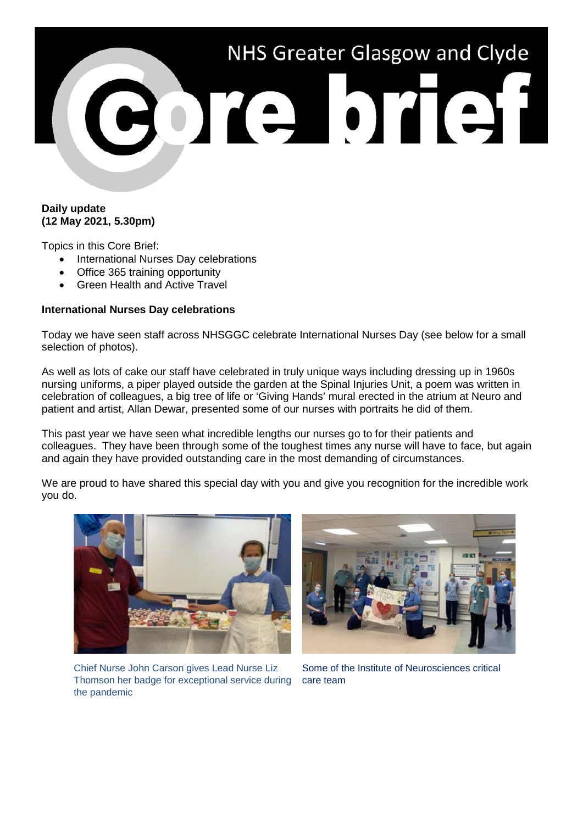

## **Daily update (12 May 2021, 5.30pm)**

Topics in this Core Brief:

- International Nurses Day celebrations
- Office 365 training opportunity
- Green Health and Active Travel

## **International Nurses Day celebrations**

Today we have seen staff across NHSGGC celebrate International Nurses Day (see below for a small selection of photos).

As well as lots of cake our staff have celebrated in truly unique ways including dressing up in 1960s nursing uniforms, a piper played outside the garden at the Spinal Injuries Unit, a poem was written in celebration of colleagues, a big tree of life or 'Giving Hands' mural erected in the atrium at Neuro and patient and artist, Allan Dewar, presented some of our nurses with portraits he did of them.

This past year we have seen what incredible lengths our nurses go to for their patients and colleagues. They have been through some of the toughest times any nurse will have to face, but again and again they have provided outstanding care in the most demanding of circumstances.

We are proud to have shared this special day with you and give you recognition for the incredible work you do.





Chief Nurse John Carson gives Lead Nurse Liz Thomson her badge for exceptional service during the pandemic

Some of the Institute of Neurosciences critical care team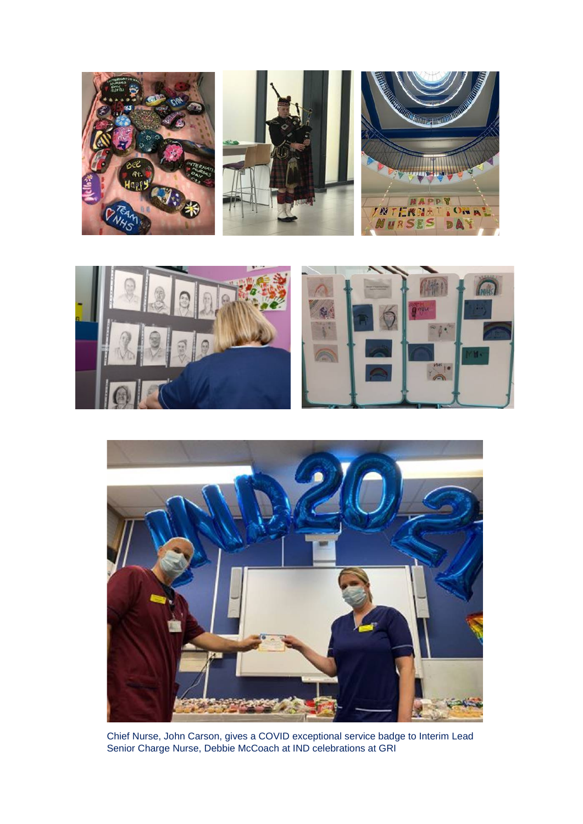





Chief Nurse, John Carson, gives a COVID exceptional service badge to Interim Lead Senior Charge Nurse, Debbie McCoach at IND celebrations at GRI